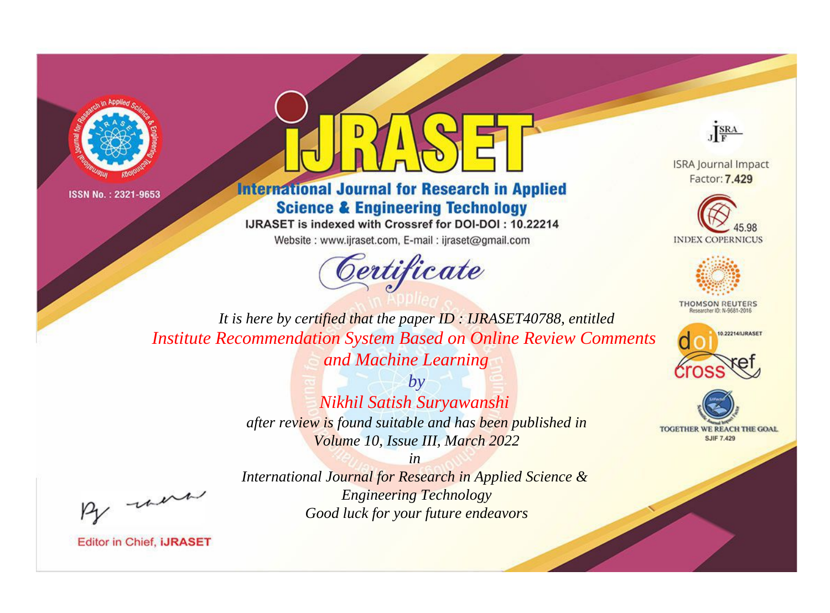



**International Journal for Research in Applied Science & Engineering Technology** 

IJRASET is indexed with Crossref for DOI-DOI: 10.22214

Website: www.ijraset.com, E-mail: ijraset@gmail.com





**ISRA Journal Impact** Factor: 7.429





**THOMSON REUTERS** 



TOGETHER WE REACH THE GOAL **SJIF 7.429** 

*It is here by certified that the paper ID : IJRASET40788, entitled Institute Recommendation System Based on Online Review Comments and Machine Learning*

> *by Nikhil Satish Suryawanshi after review is found suitable and has been published in Volume 10, Issue III, March 2022*

- were

*International Journal for Research in Applied Science & Engineering Technology Good luck for your future endeavors*

*in*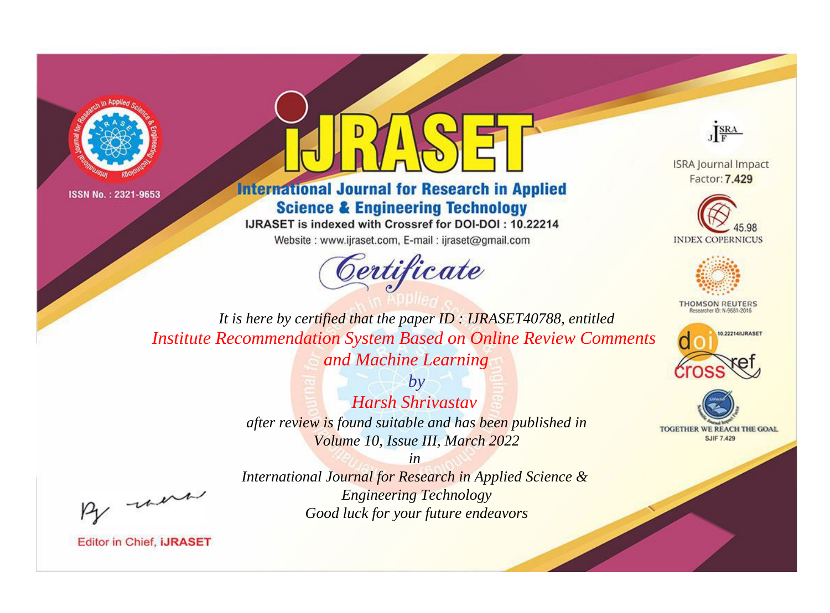



**International Journal for Research in Applied Science & Engineering Technology** 

IJRASET is indexed with Crossref for DOI-DOI: 10.22214

Website: www.ijraset.com, E-mail: ijraset@gmail.com



JERA

**ISRA Journal Impact** Factor: 7.429





**THOMSON REUTERS** 



TOGETHER WE REACH THE GOAL **SJIF 7.429** 

It is here by certified that the paper ID: IJRASET40788, entitled **Institute Recommendation System Based on Online Review Comments** and Machine Learning

> $b\nu$ **Harsh Shrivastav** after review is found suitable and has been published in Volume 10, Issue III, March 2022

> > $in$

were

International Journal for Research in Applied Science & **Engineering Technology** Good luck for your future endeavors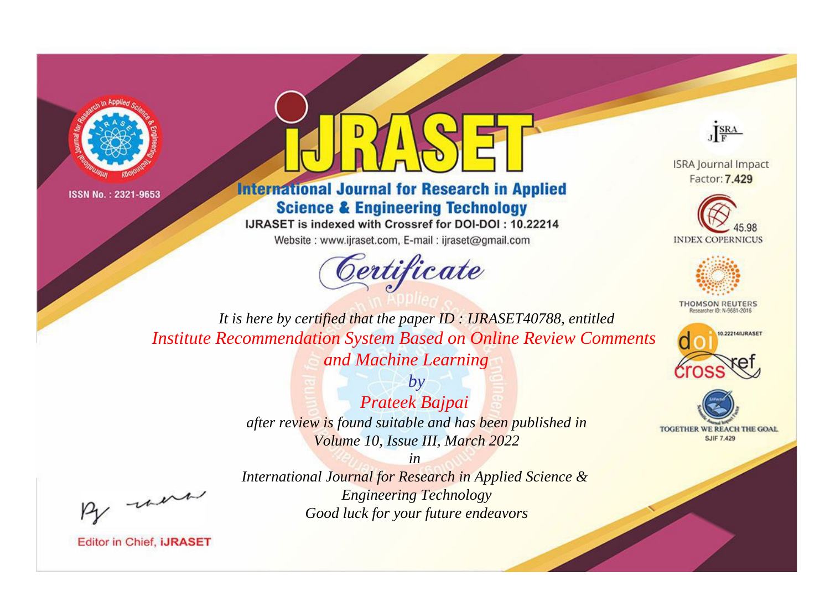



**International Journal for Research in Applied Science & Engineering Technology** 

IJRASET is indexed with Crossref for DOI-DOI: 10.22214

Website: www.ijraset.com, E-mail: ijraset@gmail.com



JERA

**ISRA Journal Impact** Factor: 7.429





**THOMSON REUTERS** 



TOGETHER WE REACH THE GOAL **SJIF 7.429** 

It is here by certified that the paper ID: IJRASET40788, entitled **Institute Recommendation System Based on Online Review Comments** and Machine Learning

> $b\nu$ Prateek Bajpai after review is found suitable and has been published in Volume 10, Issue III, March 2022

> > $in$

were

International Journal for Research in Applied Science & **Engineering Technology** Good luck for your future endeavors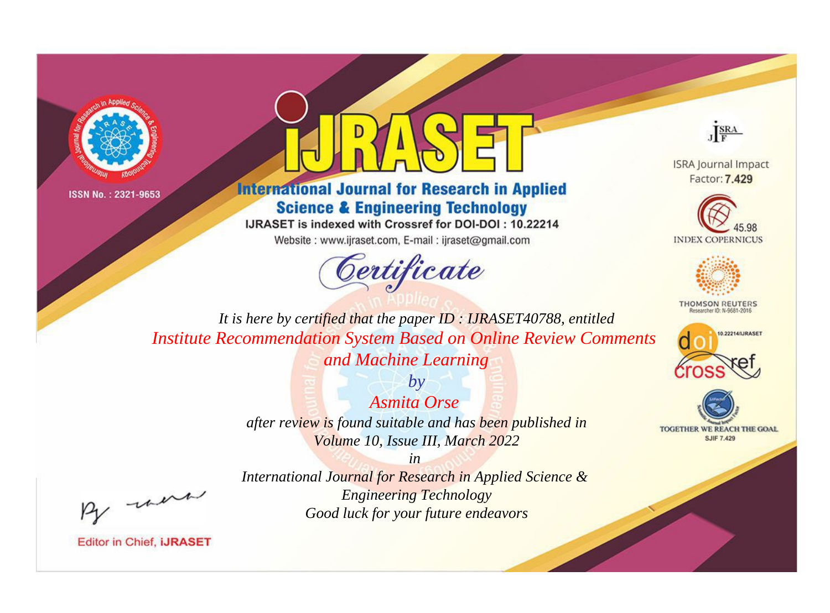



**International Journal for Research in Applied Science & Engineering Technology** 

IJRASET is indexed with Crossref for DOI-DOI: 10.22214

Website: www.ijraset.com, E-mail: ijraset@gmail.com



JERA

**ISRA Journal Impact** Factor: 7.429





**THOMSON REUTERS** 



TOGETHER WE REACH THE GOAL **SJIF 7.429** 

It is here by certified that the paper ID: IJRASET40788, entitled **Institute Recommendation System Based on Online Review Comments** and Machine Learning

> $b\nu$ Asmita Orse after review is found suitable and has been published in Volume 10, Issue III, March 2022

> > $in$

International Journal for Research in Applied Science & **Engineering Technology** Good luck for your future endeavors

were